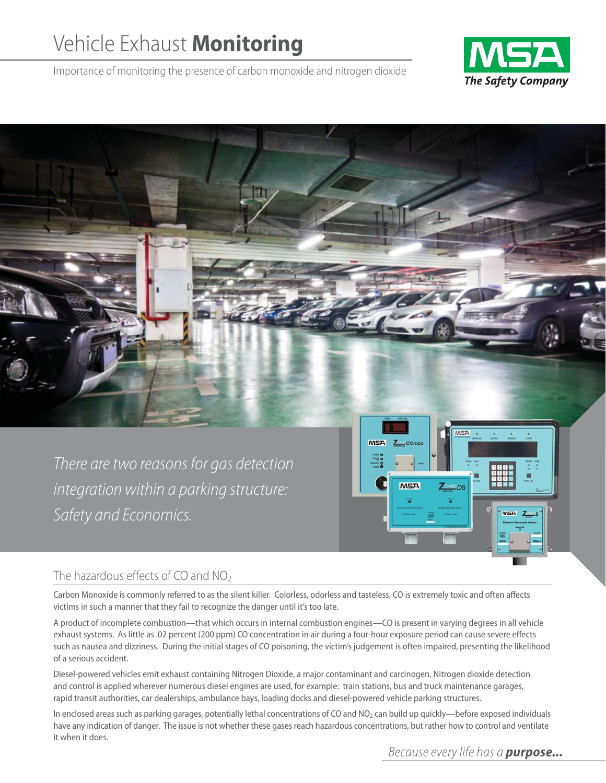# Vehicle Exhaust **Monitoring**

Importance of monitoring the presence of carbon monoxide and nitrogen dioxide





# The hazardous effects of CO and  $NO<sub>2</sub>$

Carbon Monoxide is commonly referred to as the silent killer. Colorless, odorless and tasteless, CO is extremely toxic and often affects victims in such a manner that they fail to recognize the danger until it's too late.

A product of incomplete combustion—that which occurs in internal combustion engines—CO is present in varying degrees in all vehicle exhaust systems. As little as .02 percent (200 ppm) CO concentration in air during a four-hour exposure period can cause severe effects such as nausea and dizziness. During the initial stages of CO poisoning, the victim's judgement is often impaired, presenting the likelihood of a serious accident.

Diesel-powered vehicles emit exhaust containing Nitrogen Dioxide, a major contaminant and carcinogen. Nitrogen dioxide detection and control is applied wherever numerous diesel engines are used, for example: train stations, bus and truck maintenance garages, rapid transit authorities, car dealerships, ambulance bays, loading docks and diesel-powered vehicle parking structures.

In enclosed areas such as parking garages, potentially lethal concentrations of CO and NO<sub>2</sub> can build up quickly—before exposed individuals have any indication of danger. The issue is not whether these gases reach hazardous concentrations, but rather how to control and ventilate it when it does.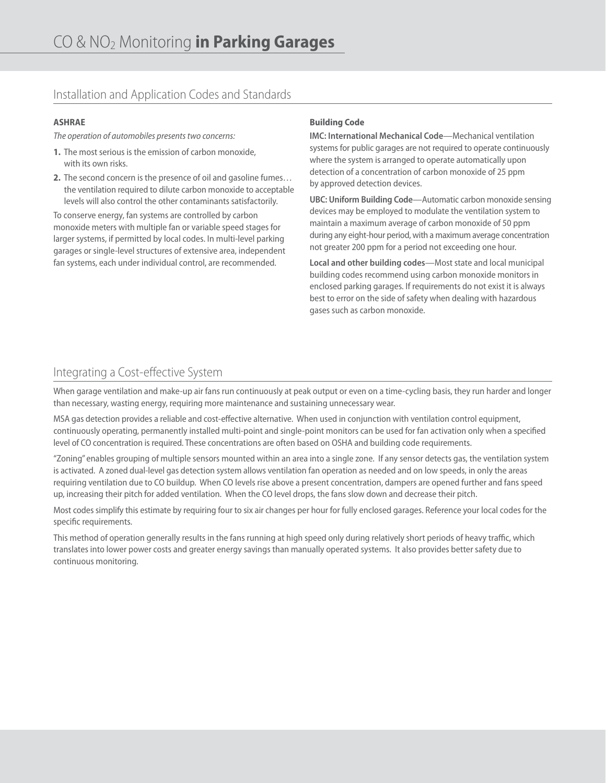### Installation and Application Codes and Standards

### **ASHRAE**

*The operation of automobiles presents two concerns:*

- **1.** The most serious is the emission of carbon monoxide, with its own risks.
- **2.** The second concern is the presence of oil and gasoline fumes… the ventilation required to dilute carbon monoxide to acceptable levels will also control the other contaminants satisfactorily.

To conserve energy, fan systems are controlled by carbon monoxide meters with multiple fan or variable speed stages for larger systems, if permitted by local codes. In multi-level parking garages or single-level structures of extensive area, independent fan systems, each under individual control, are recommended.

### **Building Code**

**IMC: International Mechanical Code**—Mechanical ventilation systems for public garages are not required to operate continuously where the system is arranged to operate automatically upon detection of a concentration of carbon monoxide of 25 ppm by approved detection devices.

**UBC: Uniform Building Code**—Automatic carbon monoxide sensing devices may be employed to modulate the ventilation system to maintain a maximum average of carbon monoxide of 50 ppm during any eight-hour period, with a maximum average concentration not greater 200 ppm for a period not exceeding one hour.

**Local and other building codes**—Most state and local municipal building codes recommend using carbon monoxide monitors in enclosed parking garages. If requirements do not exist it is always best to error on the side of safety when dealing with hazardous gases such as carbon monoxide.

# Integrating a Cost-effective System

When garage ventilation and make-up air fans run continuously at peak output or even on a time-cycling basis, they run harder and longer than necessary, wasting energy, requiring more maintenance and sustaining unnecessary wear.

MSA gas detection provides a reliable and cost-effective alternative. When used in conjunction with ventilation control equipment, continuously operating, permanently installed multi-point and single-point monitors can be used for fan activation only when a specified level of CO concentration is required. These concentrations are often based on OSHA and building code requirements.

"Zoning" enables grouping of multiple sensors mounted within an area into a single zone. If any sensor detects gas, the ventilation system is activated. A zoned dual-level gas detection system allows ventilation fan operation as needed and on low speeds, in only the areas requiring ventilation due to CO buildup. When CO levels rise above a present concentration, dampers are opened further and fans speed up, increasing their pitch for added ventilation. When the CO level drops, the fans slow down and decrease their pitch.

Most codes simplify this estimate by requiring four to six air changes per hour for fully enclosed garages. Reference your local codes for the specific requirements.

This method of operation generally results in the fans running at high speed only during relatively short periods of heavy traffic, which translates into lower power costs and greater energy savings than manually operated systems. It also provides better safety due to continuous monitoring.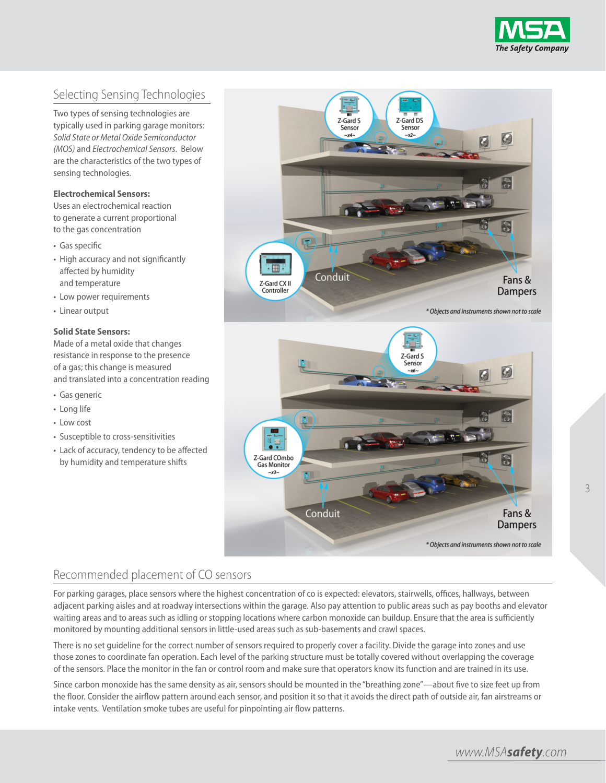

# Selecting Sensing Technologies

Two types of sensing technologies are typically used in parking garage monitors: *Solid State or Metal Oxide Semiconductor (MOS)* and *Electrochemical Sensors*. Below are the characteristics of the two types of sensing technologies.

### **Electrochemical Sensors:**

Uses an electrochemical reaction to generate a current proportional to the gas concentration

- Gas specific
- High accuracy and not significantly affected by humidity and temperature
- Low power requirements
- Linear output

### **Solid State Sensors:**

Made of a metal oxide that changes resistance in response to the presence of a gas; this change is measured and translated into a concentration reading

- Gas generic
- Long life
- Low cost
- Susceptible to cross-sensitivities
- Lack of accuracy, tendency to be affected by humidity and temperature shifts



# Recommended placement of CO sensors

For parking garages, place sensors where the highest concentration of co is expected: elevators, stairwells, offices, hallways, between adjacent parking aisles and at roadway intersections within the garage. Also pay attention to public areas such as pay booths and elevator waiting areas and to areas such as idling or stopping locations where carbon monoxide can buildup. Ensure that the area is sufficiently monitored by mounting additional sensors in little-used areas such as sub-basements and crawl spaces.

There is no set guideline for the correct number of sensors required to properly cover a facility. Divide the garage into zones and use those zones to coordinate fan operation. Each level of the parking structure must be totally covered without overlapping the coverage of the sensors. Place the monitor in the fan or control room and make sure that operators know its function and are trained in its use.

Since carbon monoxide has the same density as air, sensors should be mounted in the "breathing zone"—about five to size feet up from the floor. Consider the airflow pattern around each sensor, and position it so that it avoids the direct path of outside air, fan airstreams or intake vents. Ventilation smoke tubes are useful for pinpointing air flow patterns.

*www.MSAsafety.com*